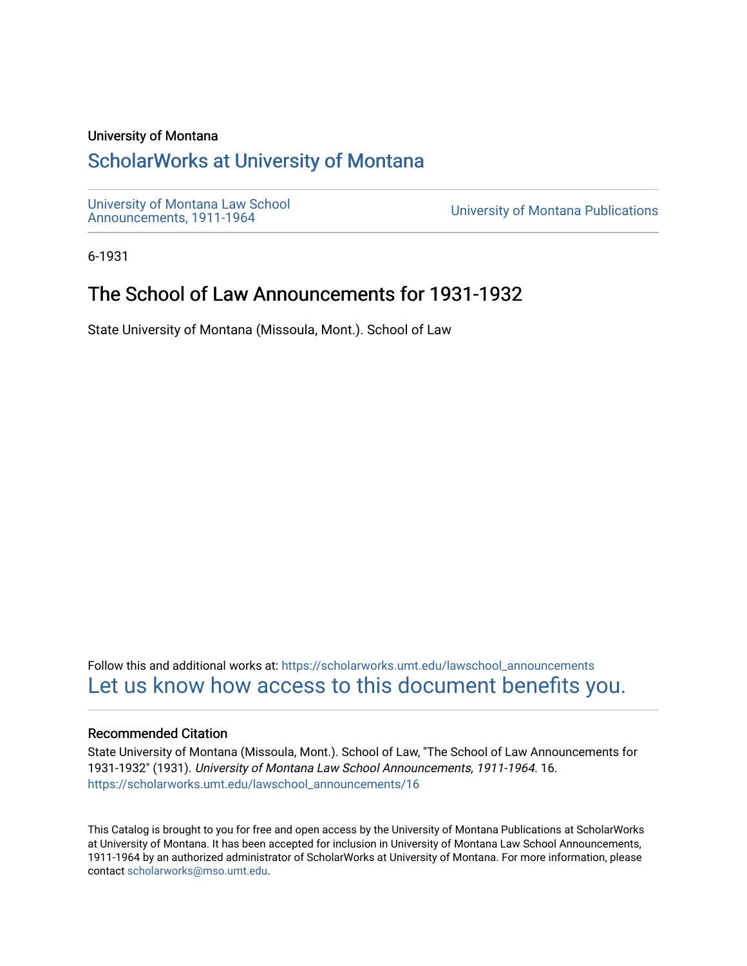#### University of Montana

## [ScholarWorks at University of Montana](https://scholarworks.umt.edu/)

[University of Montana Law School](https://scholarworks.umt.edu/lawschool_announcements)<br>Announcements, 1911-1964

**University of Montana Publications** 

6-1931

# The School of Law Announcements for 1931-1932

State University of Montana (Missoula, Mont.). School of Law

Follow this and additional works at: [https://scholarworks.umt.edu/lawschool\\_announcements](https://scholarworks.umt.edu/lawschool_announcements?utm_source=scholarworks.umt.edu%2Flawschool_announcements%2F16&utm_medium=PDF&utm_campaign=PDFCoverPages)  [Let us know how access to this document benefits you.](https://goo.gl/forms/s2rGfXOLzz71qgsB2) 

#### Recommended Citation

State University of Montana (Missoula, Mont.). School of Law, "The School of Law Announcements for 1931-1932" (1931). University of Montana Law School Announcements, 1911-1964. 16. [https://scholarworks.umt.edu/lawschool\\_announcements/16](https://scholarworks.umt.edu/lawschool_announcements/16?utm_source=scholarworks.umt.edu%2Flawschool_announcements%2F16&utm_medium=PDF&utm_campaign=PDFCoverPages)

This Catalog is brought to you for free and open access by the University of Montana Publications at ScholarWorks at University of Montana. It has been accepted for inclusion in University of Montana Law School Announcements, 1911-1964 by an authorized administrator of ScholarWorks at University of Montana. For more information, please contact [scholarworks@mso.umt.edu](mailto:scholarworks@mso.umt.edu).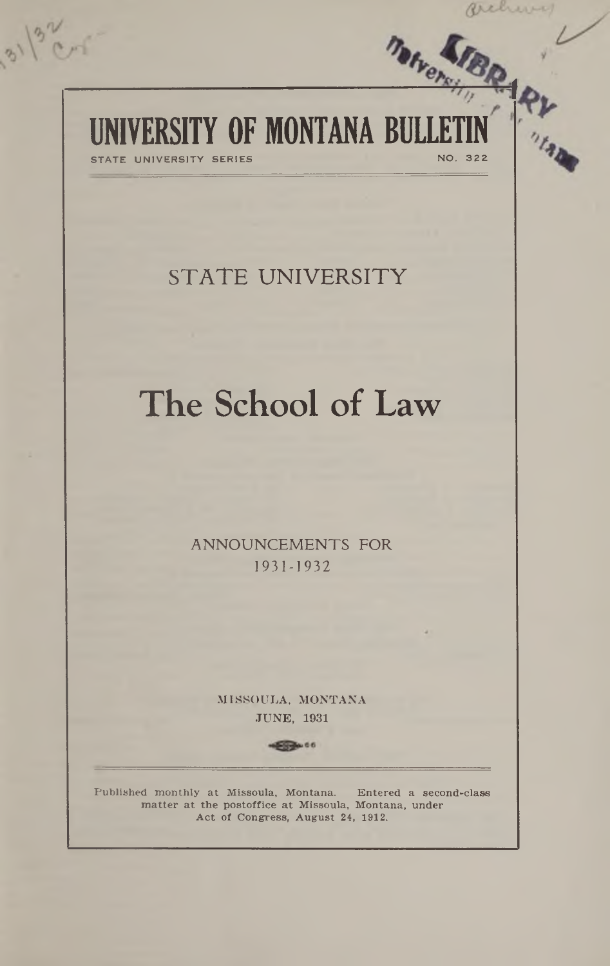# UNIVERSITY OF MONTANA BULLETIN STATE UNIVERSITY SERIES

 $8)$ 

# **STATE UNIVERSITY**

# The School of Law

**ANNOUNCEMENTS FOR** 1931-1932

> MISSOULA, MONTANA JUNE, 1931

> > $50000000$

**Published monthly at Missoula, Montana. Entered a second-class** matter at the postoffice at Missoula, Montana, under **A ct of Congress, August 24, 1912.**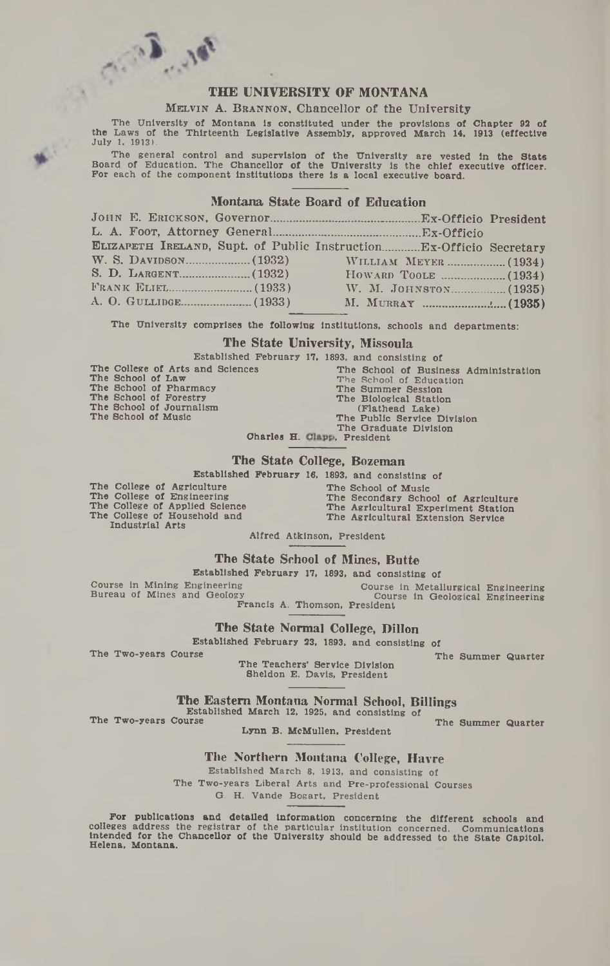# Change Cally **THE UNIVERSITY OF MONTANA**

#### MELVIN A. BRANNON, Chancellor of the University

**The University of Montana Is constituted under the provisions of Chapter 92 of the Laws of the Thirteenth Legislative Assembly, approved March 14, 1913 (effective July 1, 1913).**

The general control and supervision of the University are vested in the State<br>Board of Education. The Chancellor of the University is the chief executive officer.<br>For each of the component institutions there is a local exe

#### **Montana State Board of Education**

**<sup>J</sup> o h n** E. **<sup>E</sup> r ic k s o n ,** Governor\_\_\_\_\_\_\_\_\_\_\_\_\_\_\_\_\_\_ \_\_\_\_\_ Ex-Officio President **L .** A. **F oot,** Attorney General\_\_\_\_\_\_\_\_\_\_\_\_\_\_\_\_\_ \_\_\_\_\_\_\_Ex-Officio **ELIZAPETH IRELAND, Supt. of Public Instruction.............Ex-Officio Secretary** W. S. Davidson.......................(1932) W illiam Meyer.. S. D. L a r g e n t -------------------- (1932) H oward T oole .... Frank Eliel............................ (1933) W. M. J ohnston A. O. Gullidge........................(1933) M. Murray \_\_\_\_\_ \_\_ (1934) .....(1934) .....(1935) .>.....(1935)

**The University comprises the following Institutions, schools and departments:**

#### **The State University, Missoula**

**Established February 17, 1893, and consisting of**

|                          |  | The College of Arts and Sciences |
|--------------------------|--|----------------------------------|
| The School of Law        |  |                                  |
| The School of Pharmacy   |  |                                  |
| The School of Forestry   |  |                                  |
| The School of Journalism |  |                                  |
| The School of Music      |  |                                  |
|                          |  |                                  |

| ces                         |  |                    |                             | The School of Business Administration |
|-----------------------------|--|--------------------|-----------------------------|---------------------------------------|
|                             |  |                    | The School of Education     |                                       |
|                             |  | The Summer Session |                             |                                       |
|                             |  |                    | The Biological Station      |                                       |
|                             |  | (Flathead Lake)    |                             |                                       |
|                             |  |                    | The Public Service Division |                                       |
|                             |  |                    | The Graduate Division       |                                       |
| Charles H. Clapp, President |  |                    |                             |                                       |
|                             |  |                    |                             |                                       |

#### **The State College, Bozeman**

**Established February 16, 1893, and consisting of**

**The College of Agriculture The College of Engineering The College of Applied Science The College of Household and Industrial Arts**

**The School of Music The Secondary School of Agriculture The Agricultural Experiment Station The Agricultural Extension Service**

**Alfred Atkinson, President**

#### **The State School of Mines, Butte**

**Established February 17, 1893, and consisting of**

**Course In Mining Engineering Course in Metallurgical Engineering Bureau of Mines and Geology Course in Geological Engineering Francis A. Thomson, President**

**The State Normal College, Dillon**

**Established February 23, 1893, and consisting of**

The Two-years Course The Summer Quarter **The Teachers' Service Division Sheldon E. Davis, President**

**The Eastern Montana Normal School, Billings**

**Established March 12, 1925, and consisting of** The Two-years Course The Summer Quarter

**Lynn B. McMullen, President**

**The Northern Montana College, Havre**

**Established March 8, 1913, and consisting of The Two-years Liberal Arts and Pre-professional Courses G. H. Vande Bogart, President**

**For publications and detailed Information concerning the different schools and colleges address the registrar of the particular institution concerned. Communications Intended for the Chancellor of the University should be addressed to the State Capitol, Helena, Montana.**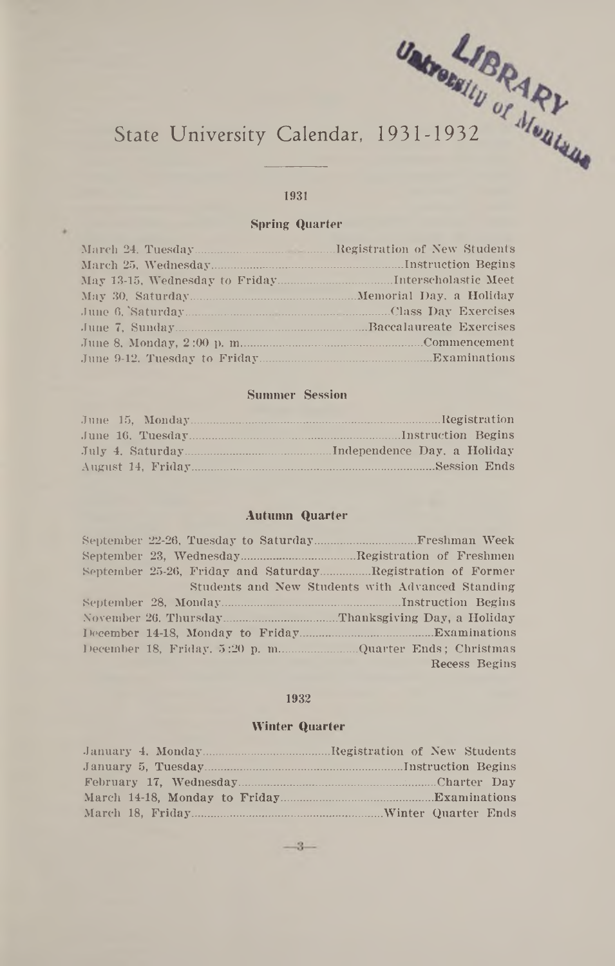# State University Calendar, 1931-1932

#### **1931**

#### Spring Quarter

#### Summer Session

|  |  | Session Ends |
|--|--|--------------|

#### **Autumn Quarter**

| September 25-26, Friday and SaturdayRegistration of Former |                                                  |
|------------------------------------------------------------|--------------------------------------------------|
|                                                            | Students and New Students with Advanced Standing |
|                                                            |                                                  |
|                                                            |                                                  |
|                                                            |                                                  |
|                                                            |                                                  |
|                                                            | Recess Begins                                    |

#### **1932**

#### Winter Quarter

| January 4. MondayRegistration of New Students |
|-----------------------------------------------|
|                                               |
|                                               |
|                                               |
|                                               |

 $-3-$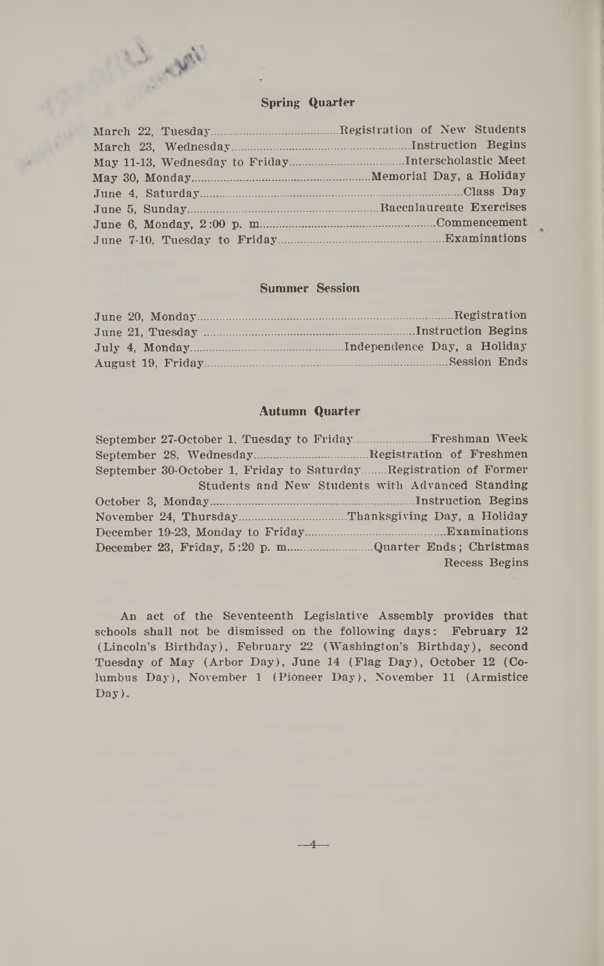

%

| Memorial Day, a Holiday |
|-------------------------|
|                         |
|                         |
|                         |
|                         |

#### **Summer Session**

| June $20$ , Monday | Registration                |
|--------------------|-----------------------------|
| June 21, Tuesday   | Instruction Begins          |
| July 4. Monday     | Independence Day, a Holiday |
| August 19. Friday  | Session Ends                |

#### **Autumn Quarter**

| September 30-October 1, Friday to SaturdayRegistration of Former |                                                  |
|------------------------------------------------------------------|--------------------------------------------------|
|                                                                  | Students and New Students with Advanced Standing |
|                                                                  |                                                  |
|                                                                  |                                                  |
| December 19-23, Monday to Friday                                 | Examinations                                     |
|                                                                  |                                                  |
|                                                                  | Recess Begins                                    |

An act of the Seventeenth Legislative Assembly provides that schools shall not be dismissed on the following days: February 12 (Lincoln's Birthday), February 22 (Washington's Birthday), second Tuesday of May (Arbor Day), June 14 (Flag Day), October 12 (Columbus Day), November 1 (Pioneer Day), November 11 (Armistice Day).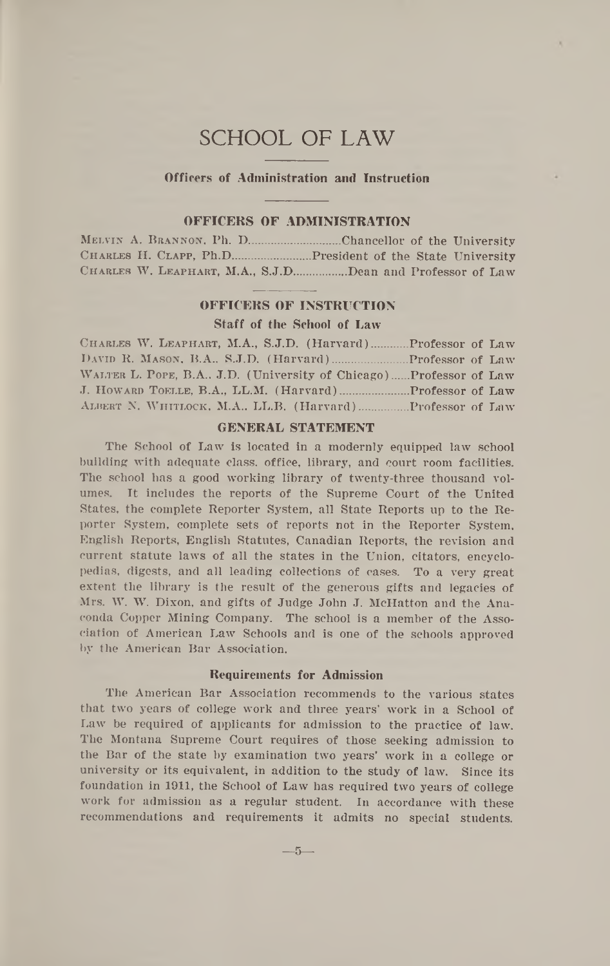## **SCHOOL OF L A W**

#### **Officers of Administration and Instruction**

#### **OFFICERS OF ADMINISTRATION**

|  | MELVIN A. BRANNON, Ph. D.          |  |  | Chancellor of the University      |
|--|------------------------------------|--|--|-----------------------------------|
|  | CHARLES H. CLAPP, Ph.D.            |  |  | President of the State University |
|  | CHARLES W. LEAPHART, M.A., S.J.D., |  |  | Dean and Professor of Law         |

#### **OFFICERS OF INSTRUCTION**

#### **Staff of the School of Law**

| CHARLES W. LEAPHART, M.A., S.J.D. (Harvard)<br>Professor of Law    |  |
|--------------------------------------------------------------------|--|
|                                                                    |  |
| WALTER L. POPE, B.A., J.D. (University of Chicago)Professor of Law |  |
|                                                                    |  |
|                                                                    |  |

#### **GENERAL STATEMENT**

The School of Law is located in a modernly equipped law school building with adequate class, office, library, and court room facilities. The school has a good working library of twenty-three thousand volumes. It includes the reports of the Supreme Court of the United States, the complete Reporter System, all State Reports up to the Reporter System, complete sets of reports not in the Reporter System, English Reports, English Statutes, Canadian Reports, the revision and current statute laws of all the states in the Union, citators, encyclopedias, digests, and all leading collections of cases. To a very great extent the library is the result of the generous gifts and legacies of Mrs. W. W. Dixon, and gifts of Judge John J. McHatton and the Anaconda Copper Mining Company. The school is a member of the Association of American Law Schools and is one of the schools approved by the American Bar Association.

#### **Requirements for Admission**

The American Bar Association recommends to the various states that two years of college work and three years' work in a School of Law be required of applicants for admission to the practice of law. The Montana Supreme Court requires of those seeking admission to the Bar of the state by examination two years' work in a college or university or its equivalent, in addition to the study of law. Since its foundation in 1911, the School of Law has required two years of college work for admission as a regular student. In accordance with these recommendations and requirements it admits no special students.

— **5**—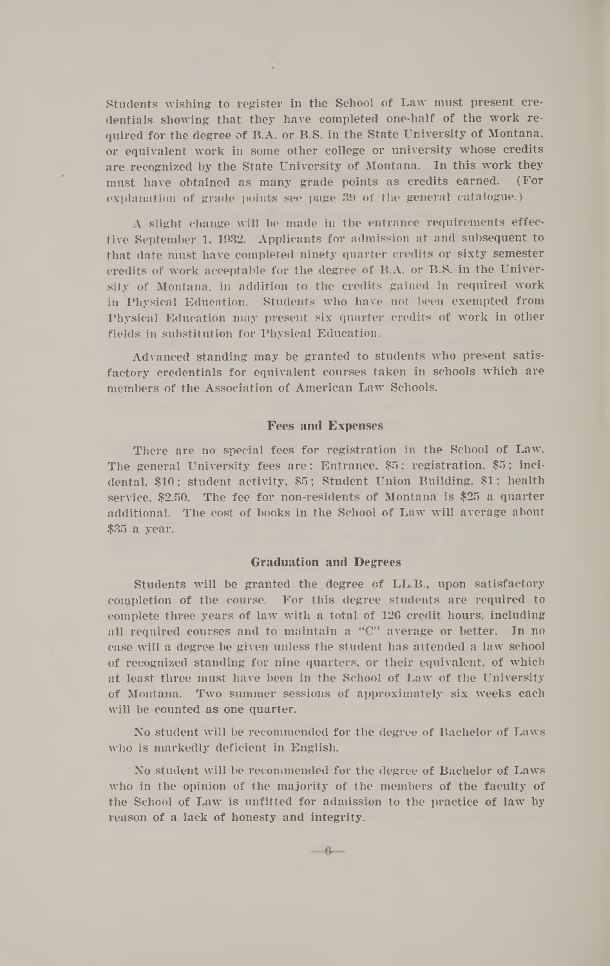Students wishing to register in the School of Law must present credentials showing that they have completed one-half of the work required for the degree of B.A. or B.S. in the State University of Montana, or equivalent work in some other college or university whose credits are recognized by the State University of Montana. In this work they must have obtained as many grade points as credits earned. (For explanation of grade points see page 39 of the general catalogue.)

A slight change will be made in the entrance requirements effective September 1, 1932. Applicants for admission at and subsequent to that date must have completed ninety quarter credits or sixty semester credits of work acceptable for the degree of B.A. or B.S. in the University of Montana, in addition to the credits gained in required work in Physical Education. Students who have not been exempted from Physical Education may present six quarter credits of work in other fields in substitution for Physical Education.

Advanced standing may be granted to students who present satisfactory credentials for equivalent courses taken in schools which are members of the Association of American Law Schools.

#### Fees and Expenses

There are no special fees for registration in the School of Law. The general University fees are: Entrance, \$5; registration, \$5; incidental, \$10; student activity, \$5; Student Union Building, \$1; health service, \$2.50. The fee for non-residents of Montana is \$25 a quarter additional. The cost of books in the School of Law will average about \$35 a year.

#### Graduation and Degrees

Students will be granted the degree of LL.B., upon satisfactory completion of the course. For this degree students are required to complete three years of law with a total of 126 credit hours, including all required courses and to maintain a "C" average or better. In no case will a degree be given unless the student has attended a law school of recognized standing for nine quarters, or their equivalent, of which at least three must have been in the School of Law of the University of Montana. Two summer sessions of approximately six weeks each will be counted as one quarter.

No student will be recommended for the degree of Bachelor of Laws who is markedly deficient in English.

No student will be recommended for the degree of Bachelor of Laws who in the opinion of the majority of the members of the faculty of the School of Law is unfitted for admission to the practice of law by reason of a lack of honesty and integrity.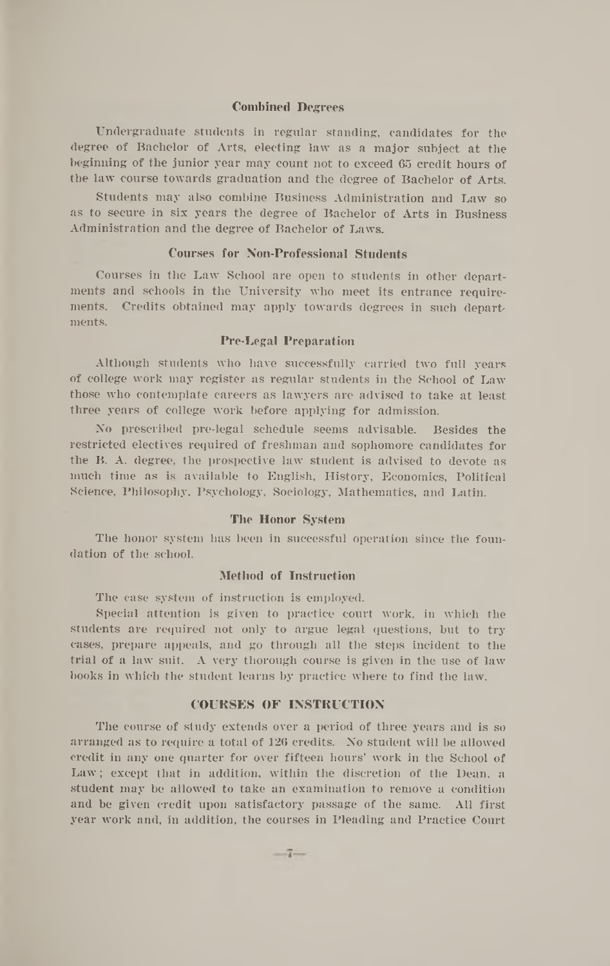#### **Combined Degrees**

Undergraduate students in regular standing, candidates for the degree of Bachelor of Arts, electing law as a major subject at the beginning of the junior year may count not to exceed 65 credit hours of the law course towards graduation and the degree of Bachelor of Arts.

Students may also combine Business Administration and Law so as to secure in six years the degree of Bachelor of Arts in Business Administration and the degree of Bachelor of Laws.

#### **Courses for Non-Professional Students**

Courses in the Law School are open to students in other departments and schools in the University who meet its entrance requirements. Credits obtained may apply towards degrees in such depart ments.

#### **Pre-Legal Preparation**

Although students who have successfully carried two full years of college work may register as regular students in the School of Law those who contemplate careers as lawyers are advised to take at least three years of college work before applying for admission.

No prescribed pre-legal schedule seems advisable. Besides the restricted electives required of freshman and sophomore candidates for the B. A. degree, the prospective law student is advised to devote as much time as is available to English, History, Economics, Political Science, Philosophy, Psychology, Sociology, Mathematics, and Latin.

#### **The Honor System**

The honor system has been in successful operation since the foundation of the school.

#### **Method of Instruction**

The ease system of instruction is employed.

Special attention is given to practice court work, in which the students are required not only to argue legal questions, but to try cases, prepare appeals, and go through all the steps incident to the trial of a law suit. A very thorough course is given in the use of law books in which the student learns by practice where to find the law.

#### **COURSES OF INSTRUCTION**

The course of study extends over a period of three years and is so arranged as to require a total of 126 credits. No student will be allowed credit in any one quarter for over fifteen hours' work in the School of Law; except that in addition, within the discretion of the Dean, a student may be allowed to take an examination to remove a condition and be given credit upon satisfactory passage of the same. All first year work and, in addition, the courses in Pleading and Practice Court

 $-7-$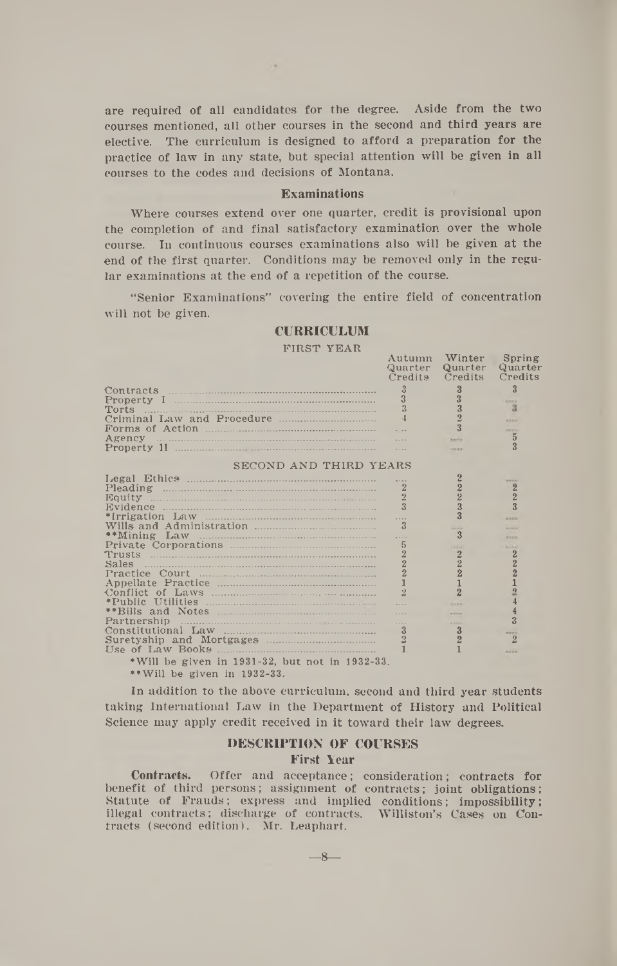are required of all candidates for the degree. Aside from the two courses mentioned, all other courses in the second and third years are elective. The curriculum is designed to afford a preparation for the practice of law in any state, but special attention will be given in all courses to the codes and decisions of Montana.

 $\sim$ 

#### **Examinations**

Where courses extend over one quarter, credit is provisional upon the completion of and final satisfactory examination over the whole course. In continuous courses examinations also will be given **at** the end of the first quarter. Conditions may be removed only in the regular examinations at the end of a repetition of the course.

" Senior Examinations" covering the entire field of concentration will not be given.

#### **CURRICULUM**

FIRST YEAR

|                                                                                                                                                                                                                                                                                                                                                 | Autumn<br>Quarter<br>Credits | Winter<br>Quarter<br>Credits | Spring<br>Quarter<br>Credits |
|-------------------------------------------------------------------------------------------------------------------------------------------------------------------------------------------------------------------------------------------------------------------------------------------------------------------------------------------------|------------------------------|------------------------------|------------------------------|
|                                                                                                                                                                                                                                                                                                                                                 | $\frac{5}{12}$               | 3                            | $\overline{\mathbf{3}}$      |
|                                                                                                                                                                                                                                                                                                                                                 | $\overline{a}$               |                              | <b>MARKET</b>                |
| Torts                                                                                                                                                                                                                                                                                                                                           |                              | 3                            | з                            |
|                                                                                                                                                                                                                                                                                                                                                 |                              | $\Omega$                     | ---                          |
|                                                                                                                                                                                                                                                                                                                                                 |                              | $\overline{3}$               |                              |
|                                                                                                                                                                                                                                                                                                                                                 |                              |                              | <b>MAY MAY</b><br>5          |
|                                                                                                                                                                                                                                                                                                                                                 |                              | <b>Warrio</b>                |                              |
|                                                                                                                                                                                                                                                                                                                                                 |                              | ---                          |                              |
| SECOND AND THIRD YEARS                                                                                                                                                                                                                                                                                                                          |                              |                              |                              |
|                                                                                                                                                                                                                                                                                                                                                 |                              | $\overline{2}$               | ----                         |
| Pleading <i>www.communicallycommunicallycommunical</i>                                                                                                                                                                                                                                                                                          | 2                            | $\overline{2}$               | $\overline{2}$               |
|                                                                                                                                                                                                                                                                                                                                                 | $\overline{2}$               | $\overline{2}$               | $\overline{2}$               |
|                                                                                                                                                                                                                                                                                                                                                 | $\overline{3}$               | 3                            |                              |
|                                                                                                                                                                                                                                                                                                                                                 |                              | $\overline{3}$               |                              |
|                                                                                                                                                                                                                                                                                                                                                 | $\overline{\mathbf{3}}$      |                              | ---                          |
|                                                                                                                                                                                                                                                                                                                                                 |                              | ---<br>3                     | ----                         |
|                                                                                                                                                                                                                                                                                                                                                 | $\overline{a}$<br>5          |                              | <b>WANTED</b>                |
|                                                                                                                                                                                                                                                                                                                                                 | $\overline{2}$               |                              | <b>Northern</b>              |
|                                                                                                                                                                                                                                                                                                                                                 |                              | $\overline{2}$               | 2                            |
| Sales                                                                                                                                                                                                                                                                                                                                           | $\frac{2}{2}$                | $\overline{2}$               | $\overline{2}$               |
|                                                                                                                                                                                                                                                                                                                                                 |                              | $\overline{2}$               |                              |
|                                                                                                                                                                                                                                                                                                                                                 | $\mathbf{1}$                 | 1                            |                              |
|                                                                                                                                                                                                                                                                                                                                                 | $\overline{2}$               | $\overline{2}$               | $\overline{2}$               |
|                                                                                                                                                                                                                                                                                                                                                 |                              |                              |                              |
|                                                                                                                                                                                                                                                                                                                                                 |                              | <b>A Minima</b>              |                              |
| Partnership                                                                                                                                                                                                                                                                                                                                     |                              | <b>ARCHIVE</b>               |                              |
| $Constant$ Law $\ldots$ $\ldots$ $\ldots$ $\ldots$ $\ldots$ $\ldots$ $\ldots$ $\ldots$ $\ldots$ $\ldots$ $\ldots$ $\ldots$ $\ldots$ $\ldots$ $\ldots$ $\ldots$ $\ldots$ $\ldots$ $\ldots$ $\ldots$ $\ldots$ $\ldots$ $\ldots$ $\ldots$ $\ldots$ $\ldots$ $\ldots$ $\ldots$ $\ldots$ $\ldots$ $\ldots$ $\ldots$ $\ldots$ $\ldots$ $\ldots$ $\ld$ | $\mathbf{3}$                 | 3                            | ----                         |
| Suretyship and Mortgages                                                                                                                                                                                                                                                                                                                        |                              | $\overline{2}$               | $\overline{2}$               |
|                                                                                                                                                                                                                                                                                                                                                 |                              |                              | -                            |
| • Will be given in 1931-32, but not in 1932-33.                                                                                                                                                                                                                                                                                                 |                              |                              |                              |

**••Will be given in 1932-33.**

In addition to the above curriculum, second and third year students taking International Law in the Department of History and Political Science may apply credit received in it toward their law degrees.

#### **DESCRIPTION OF COURSES First Year**

Contracts. Offer and acceptance; consideration; contracts for benefit of third persons; assignment of contracts; joint obligations; Statute of Frauds; express and implied conditions; impossibility; illegal contracts; discharge of contracts. Williston's Cases on Contracts (second edition). Mr. Leaphart.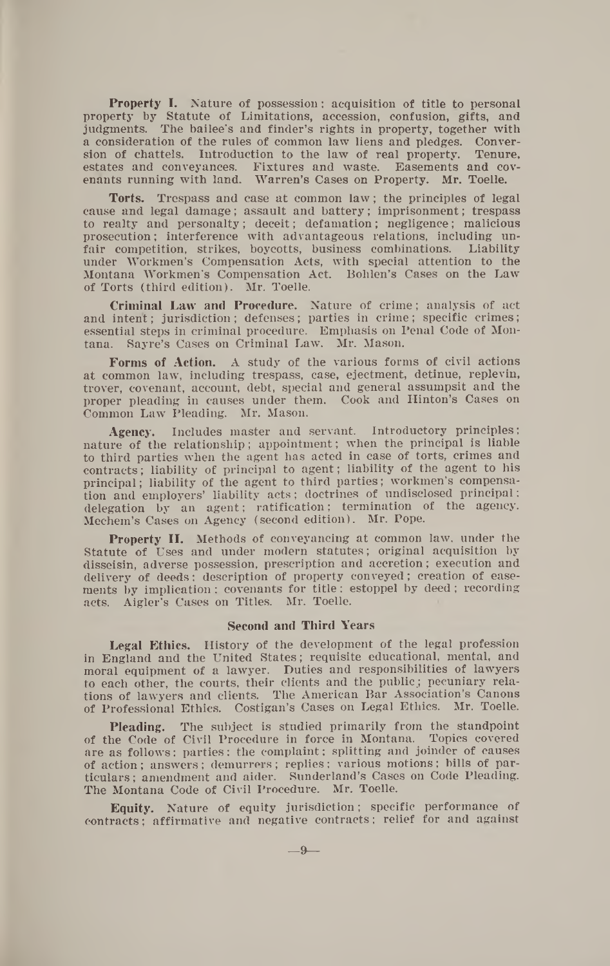Property I. Nature of possession; acquisition of title to personal property by Statute of Limitations, accession, confusion, gifts, and judgments. The bailee's and finder's rights in property, together with a consideration of the rules of common law liens and pledges. Conversion of chattels. Introduction to the law of real property. Tenure, estates and conveyances. Fixtures and waste. Easements and covenants running with land. Warren's Cases on Property. Mr. Toelle.

**Torts.** Trespass and case at common law ; the principles of legal cause and legal damage; assault and battery; imprisonment; trespass to realty and personalty; deceit; defamation; negligence; malicious prosecution; interference with advantageous relations, including unfair competition, strikes, boycotts, business combinations. Liability under Workmen's Compensation Acts, with special attention to the Montana Workmen's Compensation Act. Bohlen's Cases on the Law of Torts (third edition). Mr. Toelle.

**Criminal Law and Procedure.** Nature of crime; analysis of act and intent; jurisdiction; defenses; parties in crime; specific crimes; essential steps in criminal procedure. Emphasis on Penal Code of Montana. Sayre's Cases on Criminal Law. Mr. Mason.

**Forms of Action.** A study of the various forms of civil actions at common law, including trespass, case, ejectment, detinue, replevin, trover, covenant, account, debt, special and general assumpsit and the proper pleading in causes under them. Cook and Hinton's Cases on Common Law Pleading. Mr. Mason.

**Agency.** Includes master and servant. Introductory principles; nature of the relationship; appointment; when the principal is liable to third parties when the agent has acted in case of torts, crimes and contracts; liability of principal to agent; liability of the agent to his principal; liability of the agent to third parties; workmen's compensation and employers' liability acts; doctrines of undisclosed principal; delegation by an agent; ratification; termination of the agency. Mechem's Cases on Agency (second edition). Mr. Pope.

**Property II.** Methods of conveyancing at common law, under the Statute of Uses and under modern statutes; original acquisition by disseisin, adverse possession, prescription and accretion; execution and delivery of deeds; description of property conveyed; creation of easements by implication; covenants for title; estoppel by deed; recording acts. Aigler's Cases on Titles. Mr. Toelle.

#### **Second and Third Years**

**Legal Ethics.** History of the development of the legal profession in England and the United States; requisite educational, mental, and moral equipment of a lawyer. Duties and responsibilities of lawyers to each other, the courts, their clients and the public; pecuniary relations of lawyers and clients. The American Bar Association's Canons of Professional Ethics. Costigan's Cases on Legal Ethics.

**Pleading.** The subject is studied primarily from the standpoint of the Code of Civil Procedure in force in Montana. Topics covered are as follows: parties: the complaint; splitting and joinder of causes of action; answers; demurrers; replies; various motions; bills of particulars; amendment and aider. Sunderland's Cases on Code Pleading. The Montana Code of Civil Procedure. Mr. Toelle.

**Equity.** Nature of equity jurisdiction; specific performance of contracts; affirmative and negative contracts; relief for and against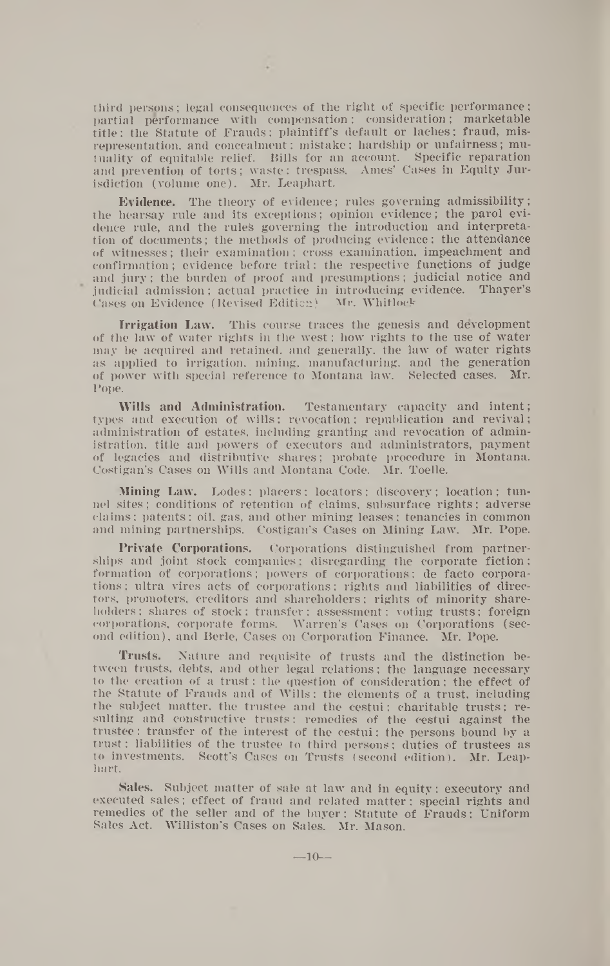third persons; legal consequences of the right of specific performance; partial performance with compensation; consideration; marketable title; the Statute of Frauds; plaintiff's default or laches; fraud, misrepresentation, and concealment; mistake; hardship or unfairness; mutuality of equitable relief. Bills for an account. Specific reparation and prevention of torts; waste; trespass. Ames' Cases in Equity Jurisdiction (volume one). Mr. Leaphart.

Evidence. The theory of evidence; rules governing admissibility; the hearsay rule and its exceptions; opinion evidence; the parol evidence rule, and the rules governing the introduction and interpretation of documents; the methods of producing evidence; the attendance of witnesses; their examination; cross examination, impeachment and confirmation; evidence before trial; the respective functions of judge and jury; the burden of proof and presumptions; judicial notice and judicial admission; actual practice in introducing evidence. Thayer's Cases on Evidence (Revised Edition) Mr. Whitlock

Irrigation Law. This course traces the genesis and development of the law of water rights in the west; how rights to the use of water may be acquired and retained, and generally, the law of water rights as applied to irrigation, mining, manufacturing, and the generation of power with special reference to Montana law. Selected cases. Mr. Pope.

Wills and Administration. Testamentary capacity and intent; types and execution of wills; revocation; republication and revival; administration of estates, including granting and revocation of administration, title and powers of executors and administrators, payment of legacies and distributive shares; probate procedure in Montana. Costigan's Cases on Wills and Montana Code. Mr. Toelle.

Mining Law. Lodes; placers; locators; discovery; location; tunnel sites; conditions of retention of claims, subsurface rights; adverse claims; patents; oil, gas, and other mining leases: tenancies in common and mining partnerships. Costigan's Cases on Mining Law. Mr. Pope.

Private Corporations. Corporations distinguished from partnerships and joint stock companies; disregarding the corporate fiction; formation of corporations; powers of corporations; de facto corporations ; ultra vires acts of corporations; rights and liabilities of directors, promoters, creditors and shareholders; rights of minority shareholders : shares of stock; transfer: assessment; voting trusts; foreign corporations, corporate forms. Warren's Cases on Corporations (second edition), and Berle, Cases on Corporation Finance. Mr. Pope.

Trusts. Nature and requisite of trusts and the distinction between trusts, debts, and other legal relations; the language necessary to the creation of a trust; the question of consideration; the effect of the Statute of Frauds and of Wills; the elements of a trust, including the subject matter, the trustee and the cestui; charitable trusts; resulting and constructive trusts; remedies of the cestui against the trustee; transfer of the interest of the cestui: the persons bound by a trust; liabilities of the trustee to third persons; duties of trustees as to investments. Scott's Cases on Trusts (second edition). Mr. Leaphart.

Sales. Subject matter of sale at law and in equity; executory and executed sales; effect of fraud and related matter: special rights and remedies of the seller and of the buyer; Statute of Frauds; Uniform Sales Act. Williston's Gases on Sales. Mr. Mason.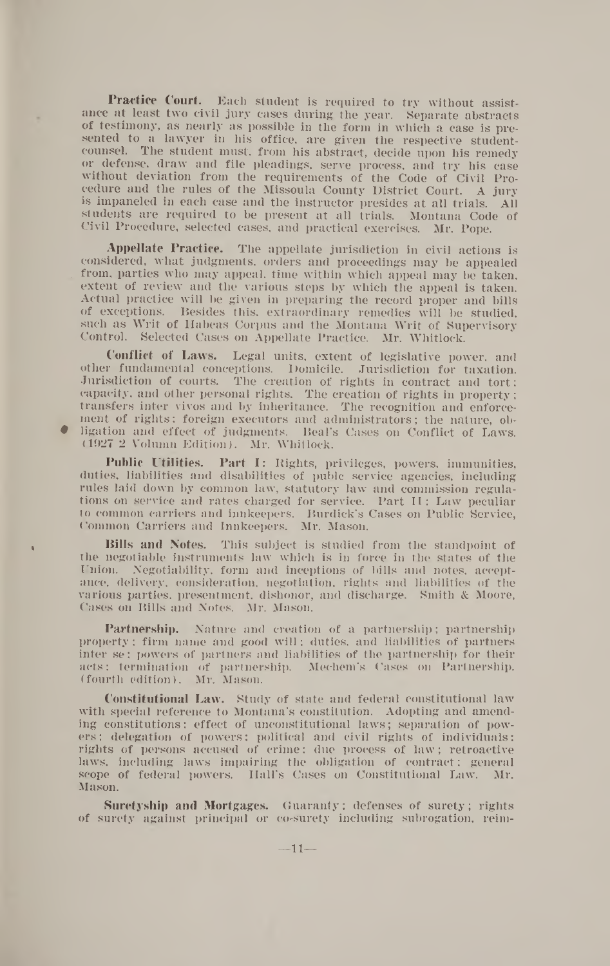**Practice Court.** Each student is required to try without assistance at least two civil jury cases during the year. Separate abstracts of testimony, as nearly as possible in the form in which a case is presented to a lawyer in his office, are given the respective studentcounsel. The student must, from his abstract, decide upon his remedy or defense, draw and file pleadings, serve process, and try his case without deviation from the requirements of the Code of Civil Procedure and the rules of the Missoula County District Court. A jury is impaneled in each case and the instructor presides at all trials. All students are required to be present at all trials. Montana Code of Civil Procedure, selected cases, and practical exercises. Mr. Pope.

**Appellate Practice.** The appellate jurisdiction in civil actions is considered, what judgments, orders and proceedings may be appealed . from, parties who may appeal, time within which appeal may be taken, extent of review and the various steps by which the appeal is taken. Actual practice will be given in preparing the record proper and bills of exceptions. Besides this, extraordinary remedies will be studied, such as Writ of Habeas Corpus and the Montana Writ of Supervisory Control. Selected Cases on Appellate Practice. Mr. Whitlock.

**Conflict of Laws.** Legal units, extent of legislative power, and other fundamental conceptions. Domicile. Jurisdiction for taxation. Jurisdiction of courts. The creation of rights in contract and tort; capacity, and other personal rights. The creation of rights in property; transfers inter vivos and by inheritance. The recognition and enforcement of rights; foreign executors and administrators; the nature, ob- • ligation and effect of judgments. Beal's Cases on Conflict of Laws. (1927 2 Volumn Edition). Mr. Whitlock.

**Public Utilities. Part I:** Rights, privileges, powers, immunities, duties, liabilities and disabilities of pubic service agencies, including rules laid down by common law, statutory law and commission regulations on service and rates charged for service. Part II: Law peculiar to common carriers and innkeepers. Burdick's Cases on Public Service, Common Carriers and Innkeepers. Mr. Mason.

**• Bills and Notes.** This subject is studied from the standpoint of the negotiable instruments law which is in force in the states of the Union. Negotiability, form and inceptions of bills and notes, acceptance, delivery, consideration, negotiation, rights and liabilities of the various parties, presentment, dishonor, and discharge. Smith & Moore, Cases on Bills and Notes. Mr. Mason.

**Partnership.** Nature and creation of a partnership; partnership property; firm name and good will; duties, and liabilities of partners inter se ; powers of partners and liabilities of the partnership for their acts; termination of partnership. Mechem's Cases on Partnership, (fourth edition). Mr. Mason.

**Constitutional Law.** Study of state and federal constitutional law with special reference to Montana's constitution. Adopting and amending constitutions; effect of unconstitutional laws; separation of powers : delegation of powers; political and civil rights of individuals; rights of persons accused of crime; due process of law; retroactive laws, including laws impairing the obligation of contract; general scope of federal nowers. Hall's Cases on Constitutional Law. Mr. scope of federal powers. Hall's Cases on Constitutional Law. Mason.

**Suretyship and Mortgages.** Guaranty; defenses of surety; rights of surety against principal or co-surety including subrogation, reim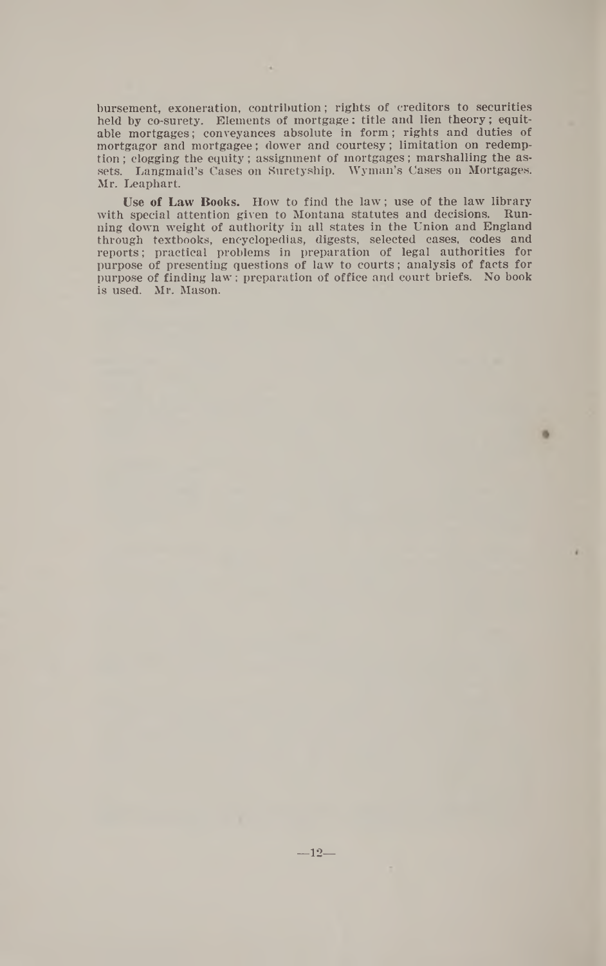bursement, exoneration, contribution; rights of creditors to securities held by co-surety. Elements of mortgage: title and lien theory; equitable mortgages; conveyances absolute in form ; rights and duties of mortgagor and mortgagee; dower and courtesy; limitation on redemption ; clogging the equity; assignment of mortgages; marshalling the assets. Langmaid's Cases on Suretyship. Wyman's Cases on Mortgages. Mr. Leaphart.

**Use of Law Books.** How to find the law ; use of the law library with special attention given to Montana statutes and decisions. Running down weight of authority in all states in the Union and England through textbooks, encyclopedias, digests, selected cases, codes and reports; practical problems in preparation of legal authorities for purpose of presenting questions of law to courts; analysis of facts for purpose of finding law ; preparation of office and court briefs. No book is used. Mr. Mason.

m

 $-12-$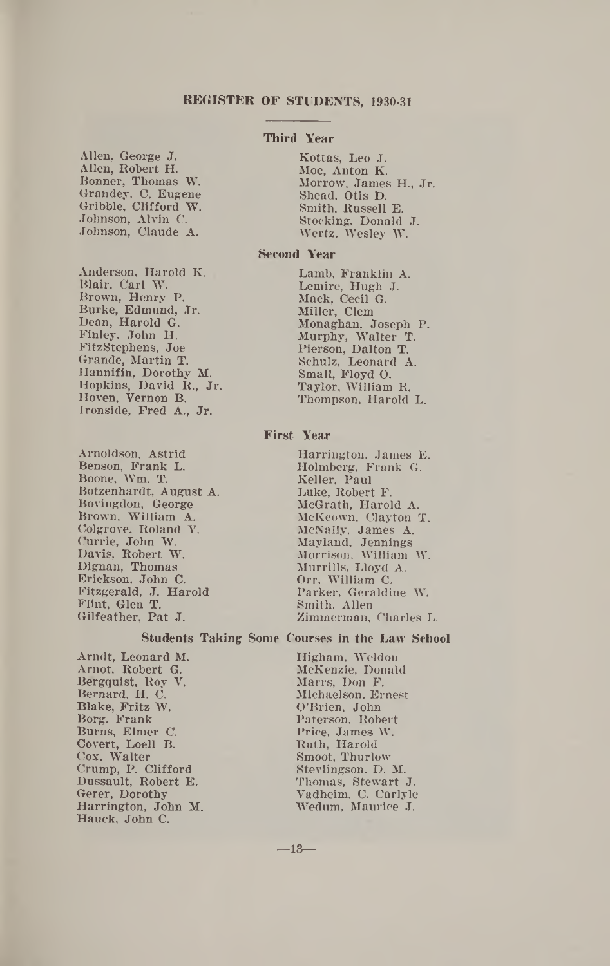#### **REGISTER OF STUDENTS, 1930-31**

Allen, George J. Allen, Robert H. Bonner, Thomas W. Grandey, C. Eugene Gribble, Clifford W. Johnson, Alvin C. Johnson, Claude A.

Anderson, Harold K. Blair, Carl W. Brown, Henry P. Burke, Edmund, Jr. Dean, Harold G. Finley, John H. FitzStephens, Joe Grande, Martin T. Hannifin, Dorothy M. Hopkins, David R., Jr. Hoven, Vernon B. Ironside, Fred A., Jr.

Arnoldson, Astrid Benson, Frank L. Boone, Wm. T. Botzenhardt, August A. Bovingdon, George Brown, William A. Colgrove, Roland V. Currie, John W. Davis, Robert W. Dignan, Thomas Erickson, John C. Fitzgerald, J. Harold Flint, Glen T. Gilfeather, Pat J.

#### **Third Year**

Kottas, Leo J. Moe, Anton K. Morrow, James H., Jr. Shead, Otis D. Smith, Russell E. Stocking, Donald J. Wertz, Wesley W.

#### **Second Year**

Lamb, Franklin A. Lemire, Hugh J. Mack, Cecil G. Miller, Clem Monaghan, Joseph P. Murphy, Walter T. Pierson, Dalton T. Schulz, Leonard A. Small, Floyd O. Taylor, William R. Thompson, Harold L.

#### **First Year**

Harrington. James E. Holmberg, Frank G. Keller, Paul Luke, Robert F. McGrath, Harold A. McKeown, Clayton T. McNally, James A. Mayland, Jennings Morrison, William W. Murrills, Lloyd A. Orr, William C. Parker, Geraldine W. Smith, Allen Zimmerman, Charles L.

#### **Students Taking Some Courses in the Law School**

Arndt, Leonard M. Arnot, Robert G. Bergquist, Roy V. Bernard, H. C. Blake, Fritz W. Borg, Frank Burns, Elmer C. Covert, Loell B. Cox, Walter Crump, P. Clifford Dussault, Robert E. Gerer, Dorothy Harrington, John M. Hauck, John C.

Higham, Weldon McKenzie, Donald Marrs, Don F. Michaelson, Ernest O'Brien, John Paterson, Robert Price, James W. Ruth, Harold Smoot, Thurlow Stevlingson, D. M. Thomas, Stewart J. Vadheim, C. Carlyle Wedum, Maurice J.

 $-13-$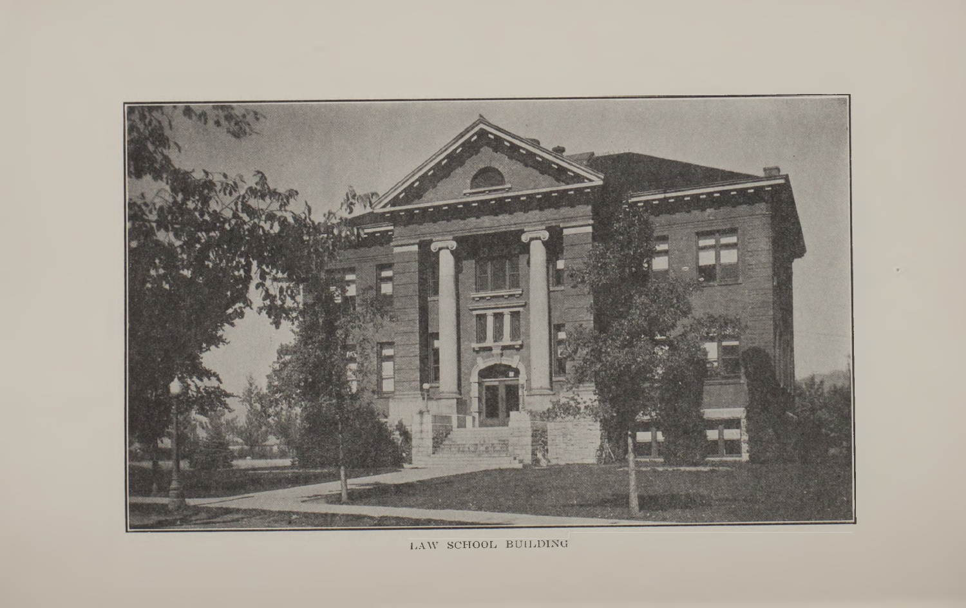

LAW SCHOOL BUILDING